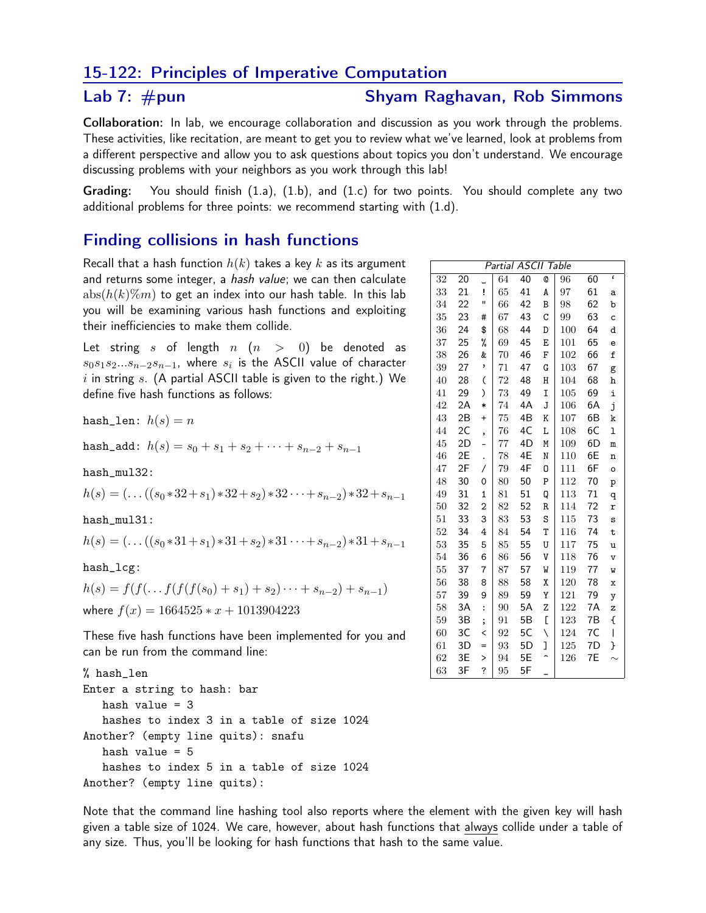## 15-122: Principles of Imperative Computation

## Lab 7:  $\#$ pun

## **Shyam Raghavan, Rob Simmons**

Collaboration: In lab, we encourage collaboration and discussion as you work through the problems. These activities, like recitation, are meant to get you to review what we've learned, look at problems from a different perspective and allow you to ask questions about topics you don't understand. We encourage discussing problems with your neighbors as you work through this lab!

You should finish  $(1.a)$ ,  $(1.b)$ , and  $(1.c)$  for two points. You should complete any two Grading: additional problems for three points: we recommend starting with (1.d).

## **Finding collisions in hash functions**

Recall that a hash function  $h(k)$  takes a key k as its argument and returns some integer, a hash value; we can then calculate  $abs(h(k)\%m)$  to get an index into our hash table. In this lab you will be examining various hash functions and exploiting their inefficiencies to make them collide.

Let string s of length  $n (n > 0)$  be denoted as  $s_0s_1s_2...s_{n-2}s_{n-1}$ , where  $s_i$  is the ASCII value of character  $i$  in string  $s$ . (A partial ASCII table is given to the right.) We define five hash functions as follows:

hash\_len:  $h(s) = n$ 

hash\_add:  $h(s) = s_0 + s_1 + s_2 + \cdots + s_{n-2} + s_{n-1}$ 

hash mul32:

 $h(s) = (...((s_0 * 32 + s_1) * 32 + s_2) * 32 \cdots + s_{n-2}) * 32 + s_{n-1}$ 

 $hash_mull31$ :

 $h(s) = ( \dots ((s_0 * 31 + s_1) * 31 + s_2) * 31 \dots + s_{n-2}) * 31 + s_{n-1}$ 

 $hash_lcg$ :

 $h(s) = f(f(\ldots f(f(f(s_0) + s_1) + s_2) \cdots + s_{n-2}) + s_{n-1})$ where  $f(x) = 1664525 * x + 1013904223$ 

These five hash functions have been implemented for you and can be run from the command line:

```
% hash_len
Enter a string to hash: bar
  hash value = 3
  hashes to index 3 in a table of size 1024
Another? (empty line quits): snafu
  hash value = 5hashes to index 5 in a table of size 1024
Another? (empty line quits):
```
Note that the command line hashing tool also reports where the element with the given key will hash given a table size of 1024. We care, however, about hash functions that always collide under a table of any size. Thus, you'll be looking for hash functions that hash to the same value.

| Partial ASCII Table |    |                |    |    |   |     |    |                         |
|---------------------|----|----------------|----|----|---|-----|----|-------------------------|
| 32                  | 20 |                | 64 | 40 | Q | 96  | 60 | $\overline{\mathbf{c}}$ |
| 33                  | 21 | İ              | 65 | 41 | A | 97  | 61 | a                       |
| 34                  | 22 | Ħ              | 66 | 42 | B | 98  | 62 | b                       |
| 35                  | 23 | #              | 67 | 43 | C | 99  | 63 | c                       |
| 36                  | 24 | \$             | 68 | 44 | D | 100 | 64 | d                       |
| 37                  | 25 | %              | 69 | 45 | E | 101 | 65 | e                       |
| 38                  | 26 | &              | 70 | 46 | F | 102 | 66 | f                       |
| 39                  | 27 | ,              | 71 | 47 | G | 103 | 67 | g                       |
| 40                  | 28 | (              | 72 | 48 | Η | 104 | 68 | h                       |
| 41                  | 29 | $\mathcal{C}$  | 73 | 49 | I | 105 | 69 | i                       |
| 42                  | 2A | $\ast$         | 74 | 4A | J | 106 | 6A | j                       |
| 43                  | 2B | $^{+}$         | 75 | 4B | K | 107 | 6B | k                       |
| 44                  | 2C | ,              | 76 | 4C | Г | 108 | 6C | ı                       |
| 45                  | 2D |                | 77 | 4D | M | 109 | 6D | m                       |
| 46                  | 2E | $\cdot$        | 78 | 4E | N | 110 | 6E | n                       |
| 47                  | 2F | Τ              | 79 | 4F | 0 | 111 | 6F | о                       |
| 48                  | 30 | 0              | 80 | 50 | P | 112 | 70 | p                       |
| 49                  | 31 | $\overline{1}$ | 81 | 51 | Q | 113 | 71 | q                       |
| 50                  | 32 | $\overline{2}$ | 82 | 52 | R | 114 | 72 | r                       |
| 51                  | 33 | 3              | 83 | 53 | S | 115 | 73 | S                       |
| 52                  | 34 | 4              | 84 | 54 | T | 116 | 74 | t                       |
| 53                  | 35 | 5              | 85 | 55 | U | 117 | 75 | u                       |
| 54                  | 36 | 6              | 86 | 56 | V | 118 | 76 | v                       |
| 55                  | 37 | $\overline{7}$ | 87 | 57 | W | 119 | 77 | M                       |
| 56                  | 38 | 8              | 88 | 58 | Χ | 120 | 78 | x                       |
| 57                  | 39 | 9              | 89 | 59 | Υ | 121 | 79 | y                       |
| 58                  | 3A | $\vdots$       | 90 | 5A | Z | 122 | 7A | z                       |
| 59                  | 3B | $\vdots$       | 91 | 5Β | E | 123 | 7B | ſ                       |
| 60                  | 3C | <              | 92 | 5C | ∖ | 124 | 7C | I                       |
| 61                  | 3D | =              | 93 | 5D | 1 | 125 | 7D | }                       |
| 62                  | 3E | $\mathbf{L}$   | 94 | 5Ε |   | 126 | 7E |                         |
| 63                  | 3F | ?              | 95 | 5F |   |     |    |                         |